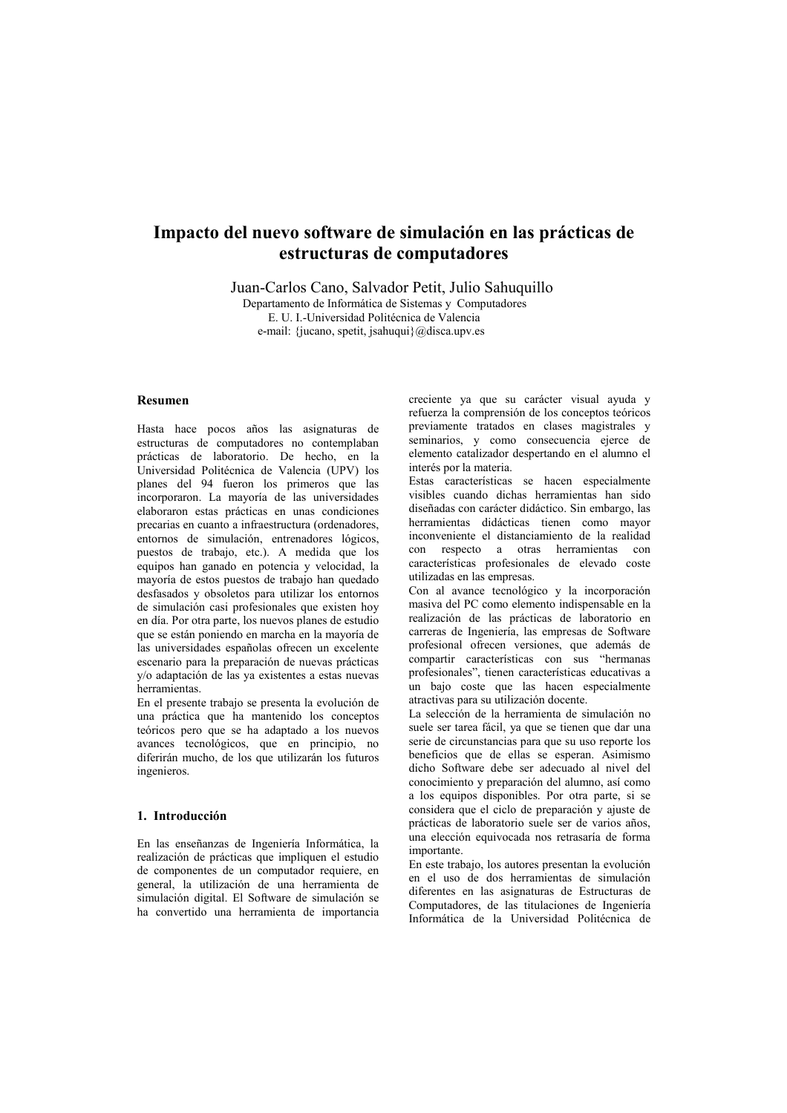# Impacto del nuevo software de simulación en las prácticas de estructuras de computadores

Juan-Carlos Cano, Salvador Petit, Julio Sahuquillo

Departamento de Informática de Sistemas y Computadores E. U. I.-Universidad Politécnica de Valencia e-mail: {jucano, spetit, jsahuqui}@disca.upv.es

### **Resumen**

Hasta hace pocos años las asignaturas de estructuras de computadores no contemplaban prácticas de laboratorio. De hecho, en la Universidad Politécnica de Valencia (UPV) los planes del 94 fueron los primeros que las incorporaron. La mayoría de las universidades elaboraron estas prácticas en unas condiciones precarias en cuanto a infraestructura (ordenadores, entornos de simulación, entrenadores lógicos, puestos de trabajo, etc.). A medida que los equipos han ganado en potencia y velocidad, la mayoría de estos puestos de trabajo han quedado desfasados y obsoletos para utilizar los entornos de simulación casi profesionales que existen hoy en día. Por otra parte, los nuevos planes de estudio que se están poniendo en marcha en la mayoría de las universidades españolas ofrecen un excelente escenario para la preparación de nuevas prácticas v/o adaptación de las va existentes a estas nuevas herramientas

En el presente trabajo se presenta la evolución de una práctica que ha mantenido los conceptos teóricos pero que se ha adaptado a los nuevos avances tecnológicos, que en principio, no diferirán mucho, de los que utilizarán los futuros ingenieros.

## 1. Introducción

En las enseñanzas de Ingeniería Informática, la realización de prácticas que impliquen el estudio de componentes de un computador requiere, en general, la utilización de una herramienta de simulación digital. El Software de simulación se ha convertido una herramienta de importancia creciente ya que su carácter visual ayuda y refuerza la comprensión de los conceptos teóricos previamente tratados en clases magistrales y seminarios, y como consecuencia ejerce de elemento catalizador despertando en el alumno el interés por la materia.

Estas características se hacen especialmente visibles cuando dichas herramientas han sido diseñadas con carácter didáctico. Sin embargo, las herramientas didácticas tienen como mayor inconveniente el distanciamiento de la realidad con respecto a otras herramientas con<br>características profesionales de elevado coste utilizadas en las empresas.

Con al avance tecnológico y la incorporación masiva del PC como elemento indispensable en la realización de las prácticas de laboratorio en carreras de Ingeniería las empresas de Software profesional ofrecen versiones, que además de compartir características con sus "hermanas profesionales", tienen características educativas a un bajo coste que las hacen especialmente atractivas para su utilización docente.

La selección de la herramienta de simulación no suele ser tarea fácil, ya que se tienen que dar una serie de circunstancias para que su uso reporte los beneficios que de ellas se esperan. Asimismo dicho Software debe ser adecuado al nivel del conocimiento y preparación del alumno, así como a los equipos disponibles. Por otra parte, si se considera que el ciclo de preparación y ajuste de prácticas de laboratorio suele ser de varios años. una elección equivocada nos retrasaría de forma importante.

En este trabajo, los autores presentan la evolución en el uso de dos herramientas de simulación diferentes en las asignaturas de Estructuras de Computadores, de las titulaciones de Ingeniería Informática de la Universidad Politécnica de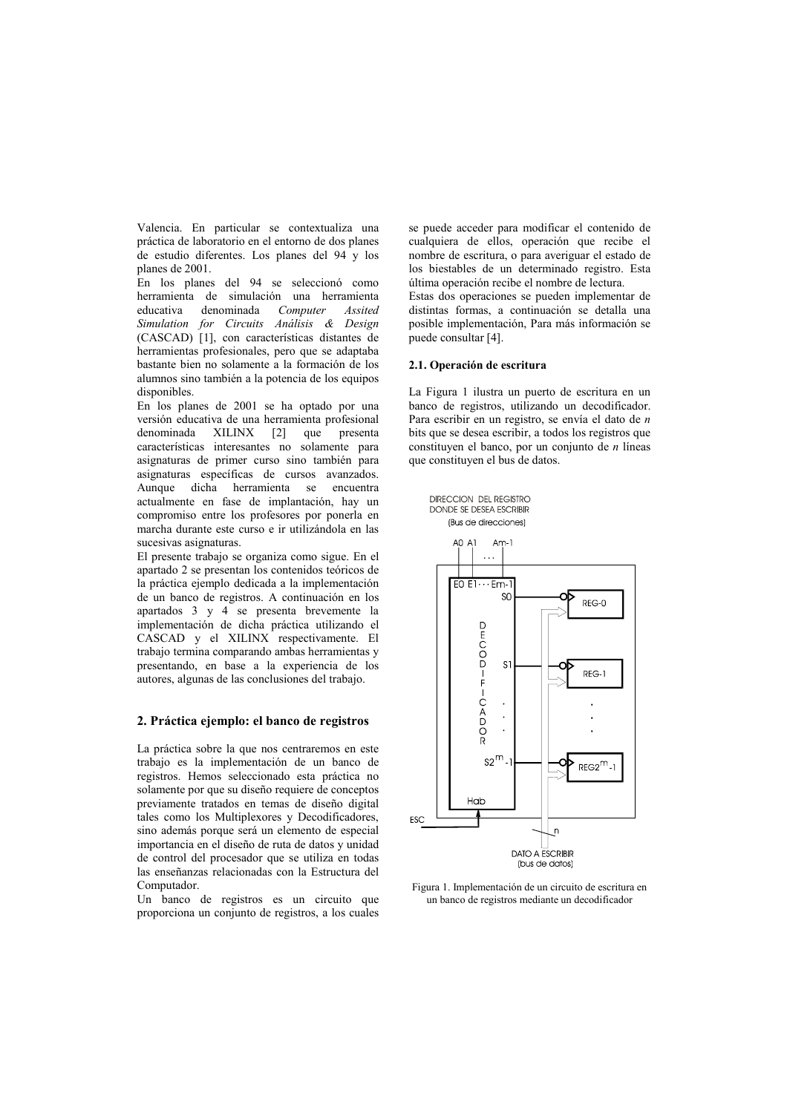Valencia. En particular se contextualiza una práctica de laboratorio en el entorno de dos planes de estudio diferentes. Los planes del 94 y los planes de 2001.

En los planes del 94 se seleccionó como herramienta de simulación una herramienta educativa denominada Computer Assited Simulation for Circuits Análisis & Design (CASCAD) [1], con características distantes de herramientas profesionales, pero que se adaptaba bastante bien no solamente a la formación de los alumnos sino también a la potencia de los equipos disponibles.

En los planes de 2001 se ha optado por una versión educativa de una herramienta profesional denominada XILINX  $\lceil 2 \rceil$ que presenta características interesantes no solamente para asignaturas de primer curso sino también para asignaturas específicas de cursos avanzados. Aunque dicha herramienta se encuentra actualmente en fase de implantación, hay un compromiso entre los profesores por ponerla en marcha durante este curso e ir utilizándola en las sucesivas asignaturas.

El presente trabajo se organiza como sigue. En el apartado 2 se presentan los contenidos teóricos de la práctica ejemplo dedicada a la implementación de un banco de registros. A continuación en los apartados 3 y 4 se presenta brevemente la implementación de dicha práctica utilizando el CASCAD y el XILINX respectivamente. El trabajo termina comparando ambas herramientas y presentando, en base a la experiencia de los autores, algunas de las conclusiones del trabajo.

## 2. Práctica ejemplo: el banco de registros

La práctica sobre la que nos centraremos en este trabajo es la implementación de un banco de registros. Hemos seleccionado esta práctica no solamente por que su diseño requiere de conceptos previamente tratados en temas de diseño digital tales como los Multiplexores y Decodificadores, sino además porque será un elemento de especial importancia en el diseño de ruta de datos y unidad de control del procesador que se utiliza en todas las enseñanzas relacionadas con la Estructura del Computador.

Un banco de registros es un circuito que proporciona un conjunto de registros, a los cuales

se puede acceder para modificar el contenido de cualquiera de ellos, operación que recibe el nombre de escritura, o para averiguar el estado de los biestables de un determinado registro. Esta última operación recibe el nombre de lectura. Estas dos operaciones se pueden implementar de distintas formas, a continuación se detalla una posible implementación, Para más información se puede consultar [4].

#### 2.1. Operación de escritura

DIRECCION DEL REGISTRO

La Figura 1 ilustra un puerto de escritura en un banco de registros, utilizando un decodificador. Para escribir en un registro, se envía el dato de  $n$ bits que se desea escribir, a todos los registros que constituyen el banco, por un conjunto de  $n$  líneas que constituyen el bus de datos.



Figura 1. Implementación de un circuito de escritura en un banco de registros mediante un decodificador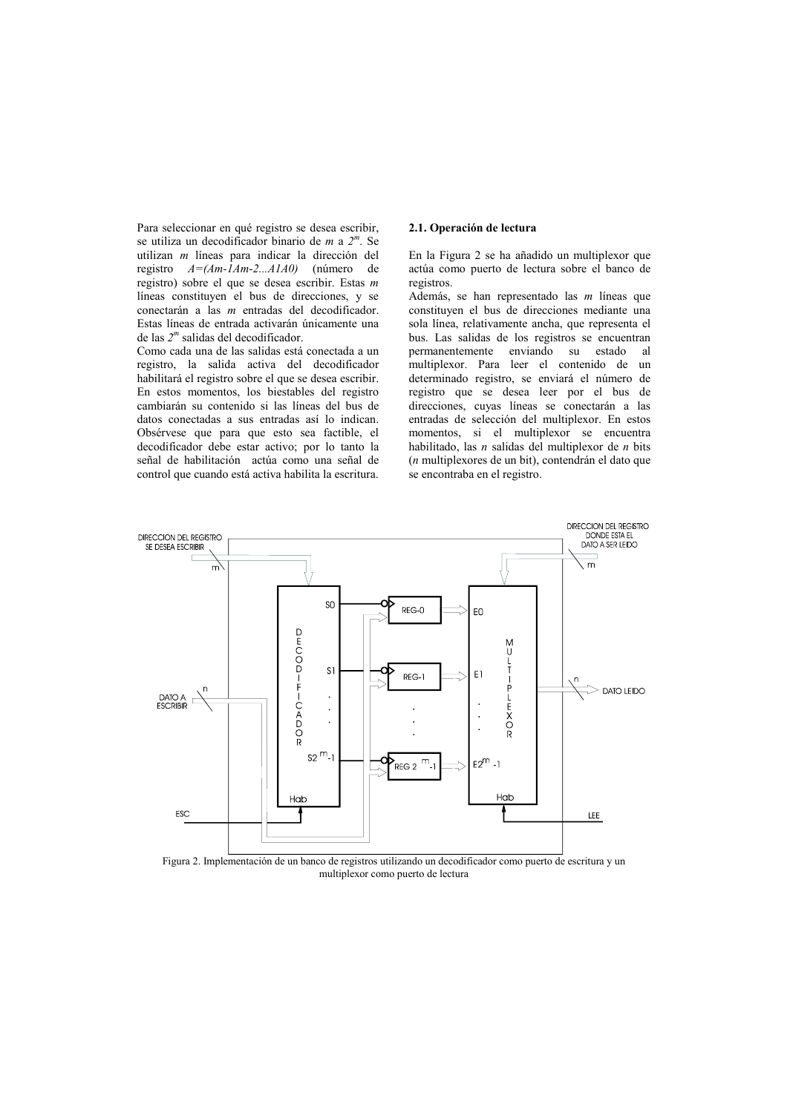Para seleccionar en qué registro se desea escribir, se utiliza un decodificador binario de  $m$  a  $2^m$ . Se utilizan  $m$  líneas para indicar la dirección del registro  $A = (Am - \hat{I}Am - 2...AIA0)$  (número de registro) sobre el que se desea escribir. Estas  $m$ líneas constituyen el bus de direcciones, y se conectarán a las  $m$  entradas del decodificador. Estas líneas de entrada activarán únicamente una de las  $2<sup>m</sup>$  salidas del decodificador.

Como cada una de las salidas está conectada a un registro, la salida activa del decodificador habilitará el registro sobre el que se desea escribir. En estos momentos, los biestables del registro cambiarán su contenido si las líneas del bus de datos conectadas a sus entradas así lo indican. Obsérvese que para que esto sea factible, el decodificador debe estar activo; por lo tanto la señal de habilitación actúa como una señal de control que cuando está activa habilita la escritura.

#### 2.1. Operación de lectura

En la Figura 2 se ha añadido un multiplexor que actúa como puerto de lectura sobre el banco de registros.

Además, se han representado las *m* líneas que constituyen el bus de direcciones mediante una sola línea, relativamente ancha, que representa el bus. Las salidas de los registros se encuentran permanentemente enviando su estado - al multiplexor. Para leer el contenido de un determinado registro, se enviará el número de registro que se desea leer por el bus de direcciones, cuyas líneas se conectarán a las entradas de selección del multiplexor. En estos momentos, si el multiplexor se encuentra habilitado, las *n* salidas del multiplexor de *n* bits (n multiplexores de un bit), contendrán el dato que se encontraba en el registro.



Figura 2. Implementación de un banco de registros utilizando un decodificador como puerto de escritura y un multiplexor como puerto de lectura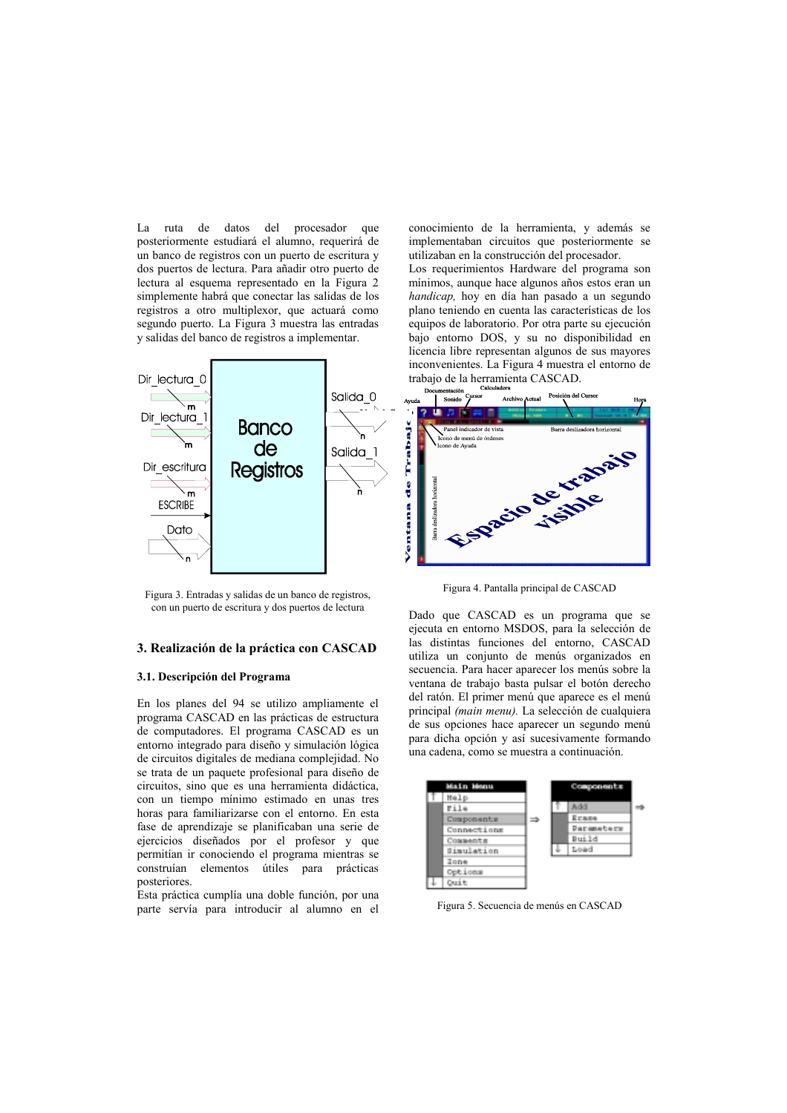La ruta de datos del procesador que posteriormente estudiará el alumno, requerirá de un banco de registros con un puerto de escritura y dos puertos de lectura. Para añadir otro puerto de lectura al esquema representado en la Figura 2 simplemente habrá que conectar las salidas de los registros a otro multiplexor, que actuará como segundo puerto. La Figura 3 muestra las entradas y salidas del banco de registros a implementar.



Figura 3. Entradas y salidas de un banco de registros. con un puerto de escritura y dos puertos de lectura

#### 3. Realización de la práctica con CASCAD

## 3.1. Descripción del Programa

En los planes del 94 se utilizo ampliamente el programa CASCAD en las prácticas de estructura de computadores. El programa CASCAD es un entorno integrado para diseño y simulación lógica de circuitos digitales de mediana complejidad. No se trata de un paquete profesional para diseño de circuitos, sino que es una herramienta didáctica, con un tiempo mínimo estimado en unas tres horas para familiarizarse con el entorno. En esta fase de aprendizaje se planificaban una serie de ejercicios diseñados por el profesor y que permitían ir conociendo el programa mientras se construían elementos útiles para prácticas posteriores.

Esta práctica cumplía una doble función, por una parte servía para introducir al alumno en el conocimiento de la herramienta, y además se implementaban circuitos que posteriormente se utilizaban en la construcción del procesador.

Los requerimientos Hardware del programa son mínimos, aunque hace algunos años estos eran un handicap, hoy en día han pasado a un segundo plano teniendo en cuenta las características de los equipos de laboratorio. Por otra parte su ejecución bajo entorno DOS, y su no disponibilidad en licencia libre representan algunos de sus mayores inconvenientes. La Figura 4 muestra el entorno de trabajo de la herramienta CASCAD. Calculadora



Figura 4. Pantalla principal de CASCAD

Dado que CASCAD es un programa que se ejecuta en entorno MSDOS, para la selección de las distintas funciones del entorno, CASCAD utiliza un conjunto de menús organizados en secuencia. Para hacer aparecer los menús sobre la ventana de trabajo basta pulsar el botón derecho del ratón. El primer menú que aparece es el menú principal (main menu). La selección de cualquiera de sus opciones hace aparecer un segundo menú para dicha opción y así sucesivamente formando una cadena, como se muestra a continuación.



Figura 5. Secuencia de menús en CASCAD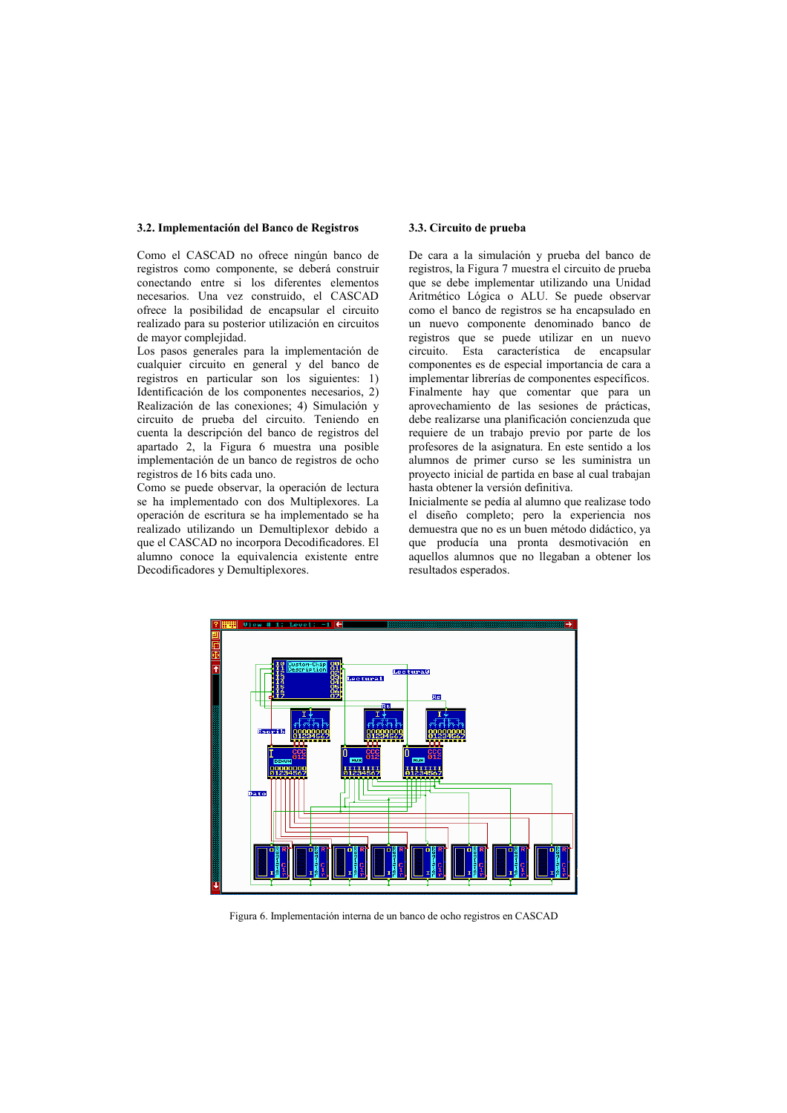#### 3.2. Implementación del Banco de Registros

Como el CASCAD no ofrece ningún banco de registros como componente, se deberá construir conectando entre si los diferentes elementos necesarios. Una vez construido, el CASCAD ofrece la posibilidad de encapsular el circuito realizado para su posterior utilización en circuitos de mayor complejidad.

Los pasos generales para la implementación de cualquier circuito en general y del banco de registros en particular son los siguientes: 1) Identificación de los componentes necesarios, 2) Realización de las conexiones: 4) Simulación y circuito de prueba del circuito. Teniendo en cuenta la descripción del banco de registros del apartado 2, la Figura 6 muestra una posible implementación de un banco de registros de ocho registros de 16 bits cada uno.

Como se puede observar, la operación de lectura se ha implementado con dos Multiplexores. La operación de escritura se ha implementado se ha realizado utilizando un Demultiplexor debido a que el CASCAD no incorpora Decodificadores. El alumno conoce la equivalencia existente entre Decodificadores y Demultiplexores.

#### 3.3. Circuito de prueba

De cara a la simulación y prueba del banco de registros, la Figura 7 muestra el circuito de prueba que se debe implementar utilizando una Unidad Aritmético Lógica o ALU. Se puede observar como el banco de registros se ha encapsulado en un nuevo componente denominado banco de registros que se puede utilizar en un nuevo circuito. Esta característica de encapsular componentes es de especial importancia de cara a implementar librerías de componentes específicos. Finalmente hay que comentar que para un aprovechamiento de las sesiones de prácticas. debe realizarse una planificación concienzuda que requiere de un trabajo previo por parte de los profesores de la asignatura. En este sentido a los alumnos de primer curso se les suministra un provecto inicial de partida en base al cual trabajan hasta obtener la versión definitiva.

Inicialmente se nedía al alumno que realizase todo el diseño completo; pero la experiencia nos demuestra que no es un buen método didáctico, ya que producía una pronta desmotivación en aquellos alumnos que no llegaban a obtener los resultados esperados.



Figura 6. Implementación interna de un banco de ocho registros en CASCAD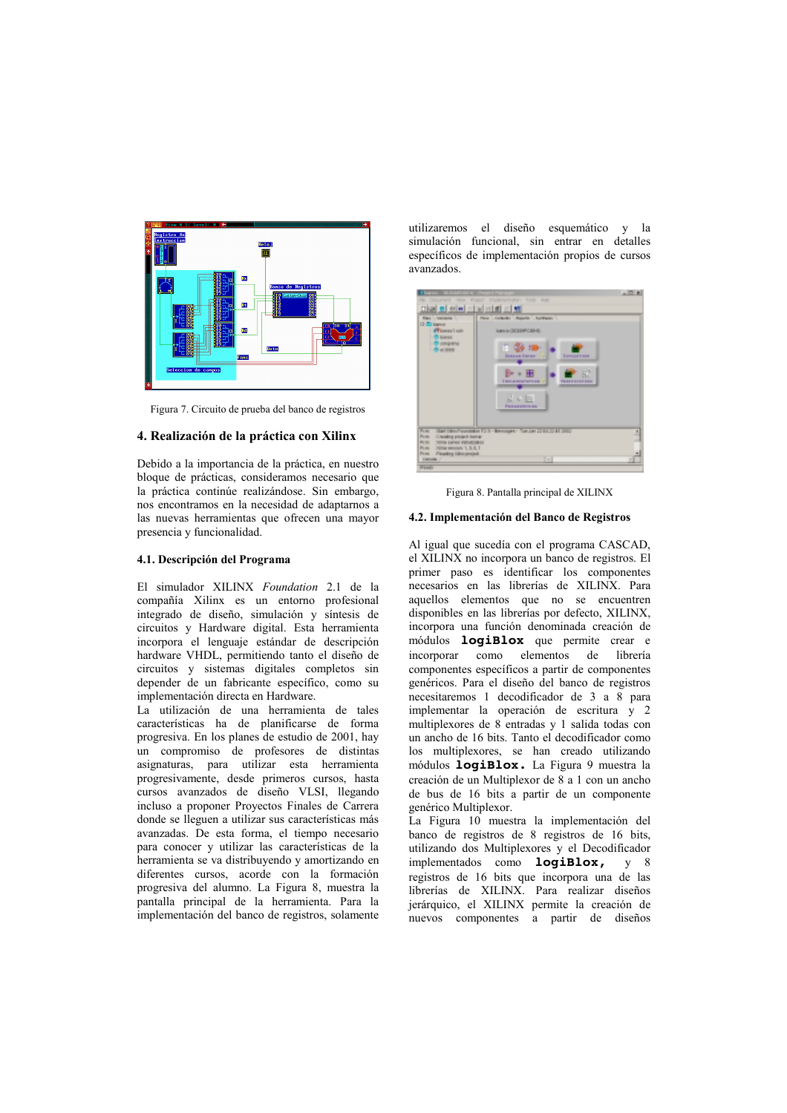

Figura 7. Circuito de prueba del banco de registros

## 4. Realización de la práctica con Xilinx

Debido a la importancia de la práctica, en nuestro bloque de prácticas, consideramos necesario que la práctica continúe realizándose. Sin embargo, nos encontramos en la necesidad de adaptarnos a las nuevas herramientas que ofrecen una mayor presencia y funcionalidad.

## 4.1. Descripción del Programa

El simulador XILINX Foundation 2.1 de la compañía Xilinx es un entorno profesional integrado de diseño, simulación y síntesis de circuitos y Hardware digital. Esta herramienta incorpora el lenguaje estándar de descripción hardware VHDL, permitiendo tanto el diseño de circuitos y sistemas digitales completos sin depender de un fabricante específico, como su implementación directa en Hardware.

La utilización de una herramienta de tales características ha de planificarse de forma progresiva. En los planes de estudio de 2001, hay un compromiso de profesores de distintas asignaturas, para utilizar esta herramienta progresivamente, desde primeros cursos, hasta cursos avanzados de diseño VLSI, llegando incluso a proponer Provectos Finales de Carrera donde se lleguen a utilizar sus características más avanzadas. De esta forma, el tiempo necesario para conocer y utilizar las características de la herramienta se va distribuyendo y amortizando en diferentes cursos, acorde con la formación progresiva del alumno. La Figura 8, muestra la pantalla principal de la herramienta. Para la implementación del banco de registros, solamente

utilizaremos el diseño esquemático y la simulación funcional, sin entrar en detalles específicos de implementación propios de cursos  $\alpha$ 



Figura 8. Pantalla principal de XILINX

#### 4.2. Implementación del Banco de Registros

Al igual que sucedía con el programa CASCAD, el XILINX no incorpora un banco de registros. El primer paso es identificar los componentes necesarios en las librerías de XILINX. Para aquellos elementos que no se encuentren disponibles en las librerías por defecto, XILINX, incorpora una función denominada creación de módulos **logiBlox** que permite crear e incorporar como elementos de lihrería componentes específicos a partir de componentes genéricos. Para el diseño del banco de registros necesitaremos 1 decodificador de 3 a 8 para implementar la operación de escritura y 2 multiplexores de 8 entradas y 1 salida todas con un ancho de 16 bits. Tanto el decodificador como los multiplexores, se han creado utilizando módulos logiBlox. La Figura 9 muestra la creación de un Multiplexor de 8 a 1 con un ancho de bus de 16 bits a partir de un componente genérico Multiplexor.

La Figura 10 muestra la implementación del banco de registros de 8 registros de 16 bits, utilizando dos Multiplexores y el Decodificador implementados como logiBlox, y 8 registros de 16 bits que incorpora una de las librerías de XILINX. Para realizar diseños jerárquico, el XILINX permite la creación de nuevos componentes a partir de diseños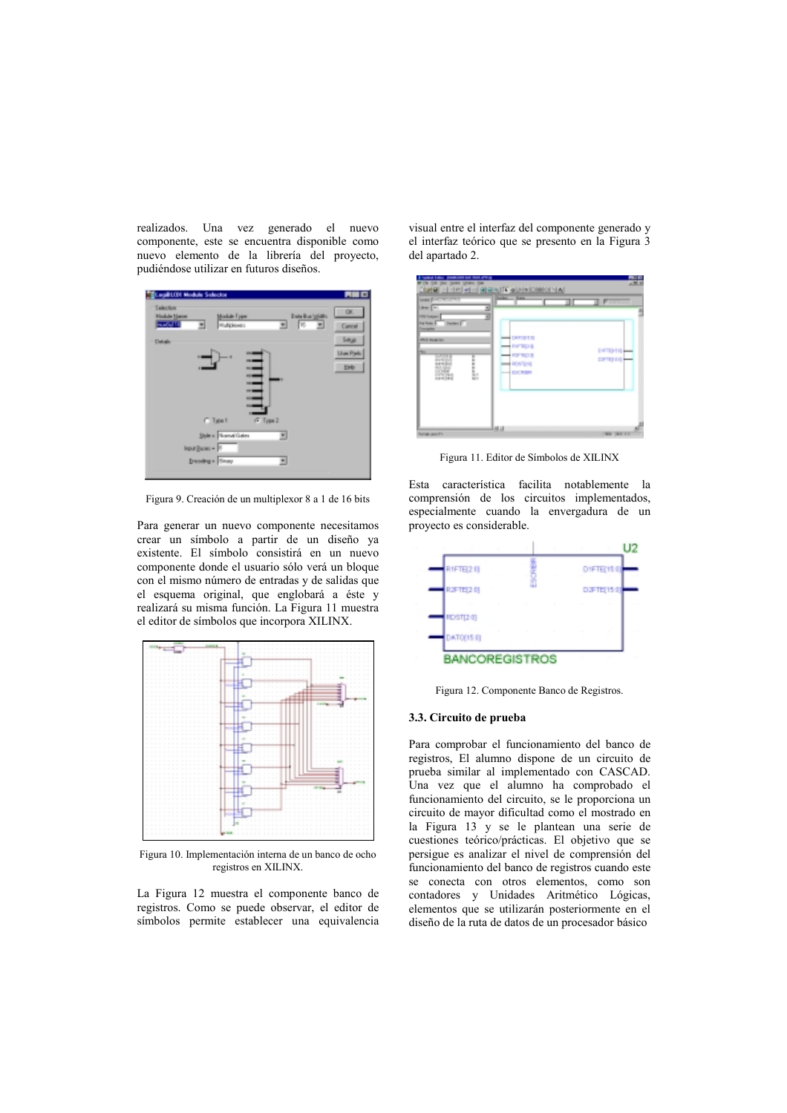realizados. Una vez generado el nuevo componente, este se encuentra disponible como nuevo elemento de la librería del proyecto, pudiéndose utilizar en futuros diseños.



Figura 9. Creación de un multiplexor 8 a 1 de 16 bits

Para generar un nuevo componente necesitamos crear un símbolo a partir de un diseño ya existente. El símbolo consistirá en un nuevo componente donde el usuario sólo verá un bloque con el mismo número de entradas y de salidas que el esquema original, que englobará a éste y realizará su misma función. La Figura 11 muestra el editor de símbolos que incorpora XILINX.



Figura 10. Implementación interna de un banco de ocho registros en XILINX.

La Figura 12 muestra el componente banco de registros. Como se puede observar, el editor de símbolos permite establecer una equivalencia visual entre el interfaz del componente generado y el interfaz teórico que se presento en la Figura 3 del apartado 2.



Figura 11. Editor de Símbolos de XILINX

Esta característica facilita notablemente la comprensión de los circuitos implementados, especialmente cuando la envergadura de un proyecto es considerable.



Figura 12. Componente Banco de Registros.

#### 3.3. Circuito de prueba

Para comprobar el funcionamiento del banco de registros, El alumno dispone de un circuito de prueba similar al implementado con CASCAD. Una vez que el alumno ha comprobado el funcionamiento del circuito, se le proporciona un circuito de mayor dificultad como el mostrado en la Figura 13 y se le plantean una serie de cuestiones teórico/prácticas. El objetivo que se persigue es analizar el nivel de comprensión del funcionamiento del banco de registros cuando este se conecta con otros elementos, como son contadores y Unidades Aritmético Lógicas, elementos que se utilizarán posteriormente en el diseño de la ruta de datos de un procesador básico